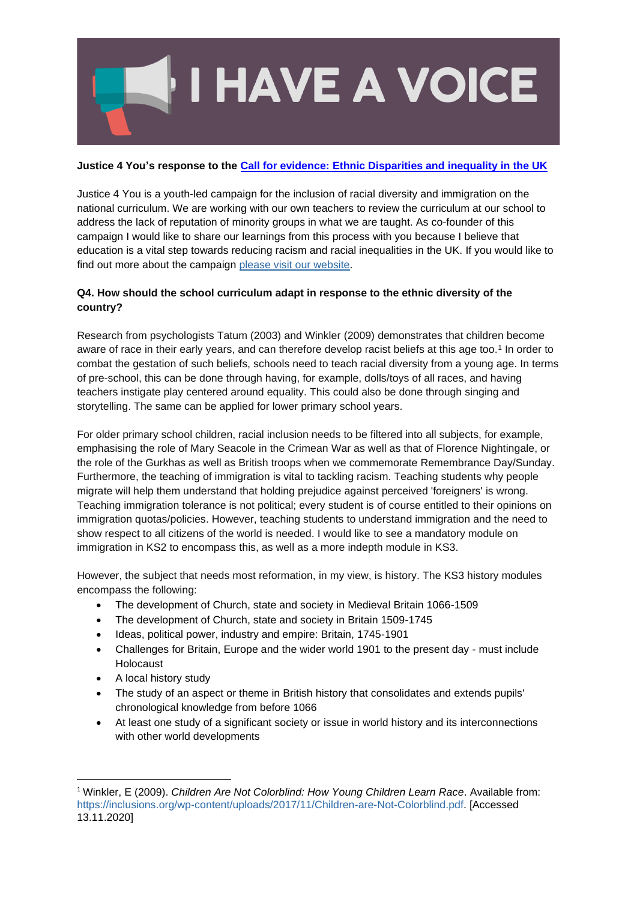

## **Justice 4 You's response to the [Call for evidence: Ethnic Disparities and inequality in the UK](https://www.gov.uk/government/consultations/ethnic-disparities-and-inequality-in-the-uk-call-for-evidence/ethnic-disparities-and-inequality-in-the-uk-call-for-evidence)**

Justice 4 You is a youth-led campaign for the inclusion of racial diversity and immigration on the national curriculum. We are working with our own teachers to review the curriculum at our school to address the lack of reputation of minority groups in what we are taught. As co-founder of this campaign I would like to share our learnings from this process with you because I believe that education is a vital step towards reducing racism and racial inequalities in the UK. If you would like to find out more about the campaign [please visit our website.](https://justice4you.bookmark.com/)

## **Q4. How should the school curriculum adapt in response to the ethnic diversity of the country?**

Research from psychologists Tatum (2003) and Winkler (2009) demonstrates that children become aware of race in their early years, and can therefore develop racist beliefs at this age too.<sup>1</sup> In order to combat the gestation of such beliefs, schools need to teach racial diversity from a young age. In terms of pre-school, this can be done through having, for example, dolls/toys of all races, and having teachers instigate play centered around equality. This could also be done through singing and storytelling. The same can be applied for lower primary school years.

For older primary school children, racial inclusion needs to be filtered into all subjects, for example, emphasising the role of Mary Seacole in the Crimean War as well as that of Florence Nightingale, or the role of the Gurkhas as well as British troops when we commemorate Remembrance Day/Sunday. Furthermore, the teaching of immigration is vital to tackling racism. Teaching students why people migrate will help them understand that holding prejudice against perceived 'foreigners' is wrong. Teaching immigration tolerance is not political; every student is of course entitled to their opinions on immigration quotas/policies. However, teaching students to understand immigration and the need to show respect to all citizens of the world is needed. I would like to see a mandatory module on immigration in KS2 to encompass this, as well as a more indepth module in KS3.

However, the subject that needs most reformation, in my view, is history. The KS3 history modules encompass the following:

- The development of Church, state and society in Medieval Britain 1066-1509
- The development of Church, state and society in Britain 1509-1745
- Ideas, political power, industry and empire: Britain, 1745-1901
- Challenges for Britain, Europe and the wider world 1901 to the present day must include Holocaust
- A local history study
- The study of an aspect or theme in British history that consolidates and extends pupils' chronological knowledge from before 1066
- At least one study of a significant society or issue in world history and its interconnections with other world developments

<sup>1</sup> Winkler, E (2009). *Children Are Not Colorblind: How Young Children Learn Race*. Available from: [https://inclusions.org/wp-content/uploads/2017/11/Children-are-Not-Colorblind.pdf.](https://inclusions.org/wp-content/uploads/2017/11/Children-are-Not-Colorblind.pdf) [Accessed 13.11.2020]